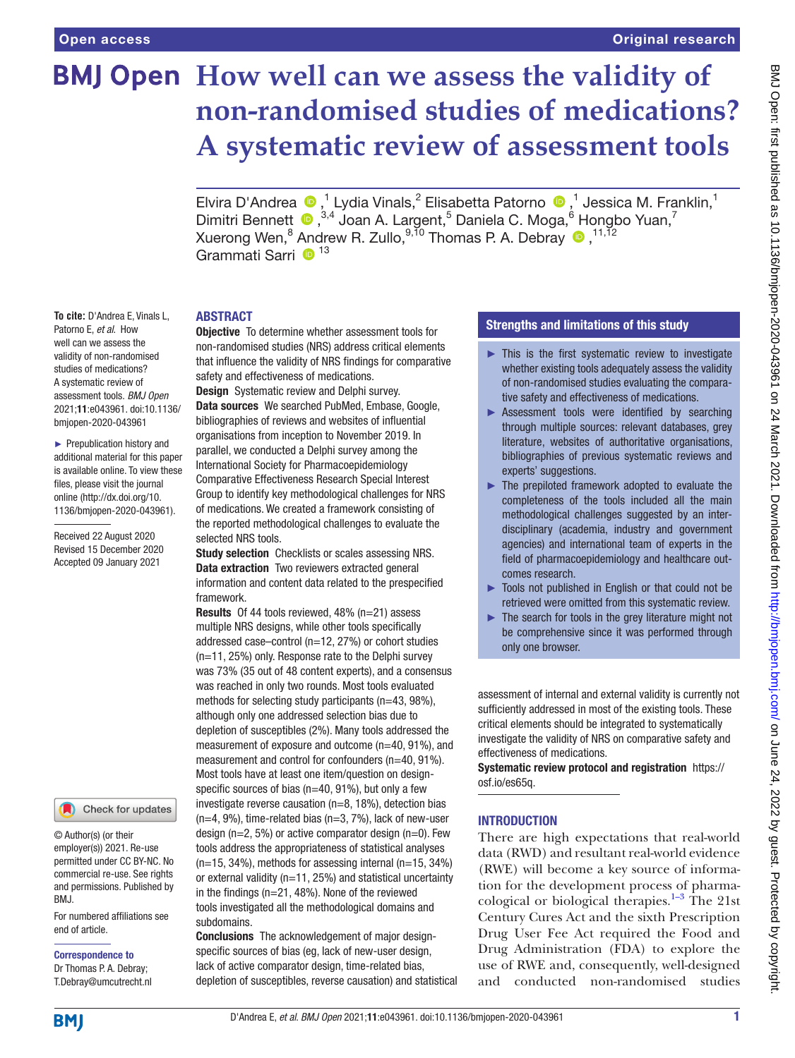**To cite:** D'Andrea E, Vinals L, Patorno E, *et al*. How well can we assess the validity of non-randomised studies of medications? A systematic review of assessment tools. *BMJ Open* 2021;11:e043961. doi:10.1136/ bmjopen-2020-043961 ► Prepublication history and additional material for this paper is available online. To view these files, please visit the journal online [\(http://dx.doi.org/10.](http://dx.doi.org/10.1136/bmjopen-2020-043961) [1136/bmjopen-2020-043961\)](http://dx.doi.org/10.1136/bmjopen-2020-043961). Received 22 August 2020 Revised 15 December 2020 Accepted 09 January 2021

# **BMJ Open** How well can we assess the validity of **non-randomised studies of medications? A systematic review of assessment tools**

ElviraD'Andrea (D,<sup>1</sup> Lydia Vinals,<sup>2</sup> Elisabetta Patorno (D,<sup>1</sup> Jessica M. Franklin,<sup>1</sup> DimitriBennett <sup>®</sup>,<sup>3,4</sup> Joan A. Largent,<sup>5</sup> Daniela C. Moga,<sup>6</sup> Hongbo Yuan,<sup>7</sup> Xuerong Wen, $^8$  Andrew R. Zullo, $^{9,10}$  Thomas P. A. Debray  $\bigcirc$  ,  $^{11,12}$ Grammati Sarri  $\bullet$ <sup>13</sup>

#### ABSTRACT

**Objective** To determine whether assessment tools for non-randomised studies (NRS) address critical elements that influence the validity of NRS findings for comparative safety and effectiveness of medications.

Design Systematic review and Delphi survey. Data sources We searched PubMed, Embase, Google, bibliographies of reviews and websites of influential organisations from inception to November 2019. In parallel, we conducted a Delphi survey among the International Society for Pharmacoepidemiology Comparative Effectiveness Research Special Interest Group to identify key methodological challenges for NRS of medications. We created a framework consisting of the reported methodological challenges to evaluate the selected NRS tools.

**Study selection** Checklists or scales assessing NRS. Data extraction Two reviewers extracted general information and content data related to the prespecified framework.

Results Of 44 tools reviewed, 48% (n=21) assess multiple NRS designs, while other tools specifically addressed case–control (n=12, 27%) or cohort studies (n=11, 25%) only. Response rate to the Delphi survey was 73% (35 out of 48 content experts), and a consensus was reached in only two rounds. Most tools evaluated methods for selecting study participants (n=43, 98%), although only one addressed selection bias due to depletion of susceptibles (2%). Many tools addressed the measurement of exposure and outcome (n=40, 91%), and measurement and control for confounders (n=40, 91%). Most tools have at least one item/question on designspecific sources of bias (n=40, 91%), but only a few investigate reverse causation (n=8, 18%), detection bias  $(n=4, 9\%)$ , time-related bias  $(n=3, 7\%)$ , lack of new-user design ( $n=2$ , 5%) or active comparator design ( $n=0$ ). Few tools address the appropriateness of statistical analyses (n=15, 34%), methods for assessing internal (n=15, 34%) or external validity (n=11, 25%) and statistical uncertainty in the findings (n=21, 48%). None of the reviewed tools investigated all the methodological domains and subdomains.

Conclusions The acknowledgement of major designspecific sources of bias (eg, lack of new-user design, lack of active comparator design, time-related bias, depletion of susceptibles, reverse causation) and statistical

# Strengths and limitations of this study

- $\blacktriangleright$  This is the first systematic review to investigate whether existing tools adequately assess the validity of non-randomised studies evaluating the comparative safety and effectiveness of medications.
- ► Assessment tools were identified by searching through multiple sources: relevant databases, grey literature, websites of authoritative organisations, bibliographies of previous systematic reviews and experts' suggestions.
- $\blacktriangleright$  The prepiloted framework adopted to evaluate the completeness of the tools included all the main methodological challenges suggested by an interdisciplinary (academia, industry and government agencies) and international team of experts in the field of pharmacoepidemiology and healthcare outcomes research.
- ► Tools not published in English or that could not be retrieved were omitted from this systematic review.
- ► The search for tools in the grey literature might not be comprehensive since it was performed through only one browser.

assessment of internal and external validity is currently not sufficiently addressed in most of the existing tools. These critical elements should be integrated to systematically investigate the validity of NRS on comparative safety and effectiveness of medications.

Systematic review protocol and registration [https://](https://osf.io/es65q) [osf.io/es65q](https://osf.io/es65q).

#### INTRODUCTION

There are high expectations that real-world data (RWD) and resultant real-world evidence (RWE) will become a key source of information for the development process of pharmacological or biological therapies. $1-3$  The 21st Century Cures Act and the sixth Prescription Drug User Fee Act required the Food and Drug Administration (FDA) to explore the use of RWE and, consequently, well-designed and conducted non-randomised studies

© Author(s) (or their employer(s)) 2021. Re-use

permitted under CC BY-NC. No commercial re-use. See rights and permissions. Published by BMJ.

Check for updates

For numbered affiliations see end of article.

Correspondence to Dr Thomas P. A. Debray; T.Debray@umcutrecht.nl



**BMI**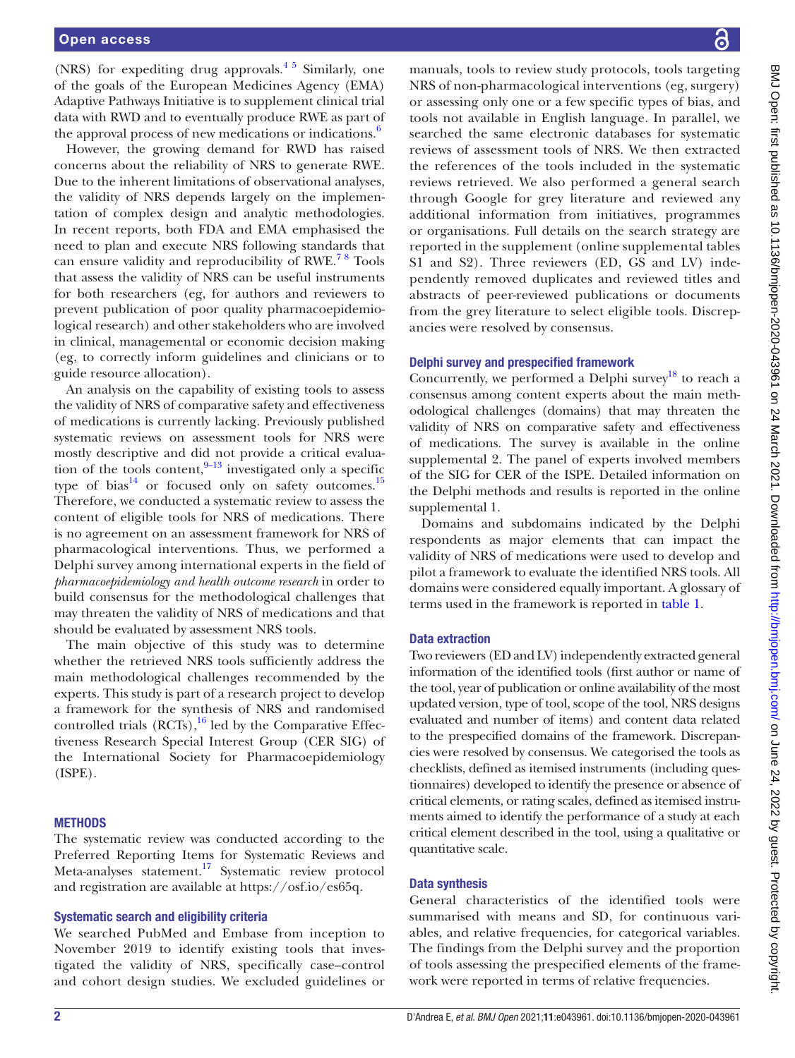(NRS) for expediting drug approvals. $4\frac{1}{2}$  Similarly, one of the goals of the European Medicines Agency (EMA) Adaptive Pathways Initiative is to supplement clinical trial data with RWD and to eventually produce RWE as part of the approval process of new medications or indications.<sup>6</sup>

However, the growing demand for RWD has raised concerns about the reliability of NRS to generate RWE. Due to the inherent limitations of observational analyses, the validity of NRS depends largely on the implementation of complex design and analytic methodologies. In recent reports, both FDA and EMA emphasised the need to plan and execute NRS following standards that can ensure validity and reproducibility of RWE.<sup>78</sup> Tools that assess the validity of NRS can be useful instruments for both researchers (eg, for authors and reviewers to prevent publication of poor quality pharmacoepidemiological research) and other stakeholders who are involved in clinical, managemental or economic decision making (eg, to correctly inform guidelines and clinicians or to guide resource allocation).

An analysis on the capability of existing tools to assess the validity of NRS of comparative safety and effectiveness of medications is currently lacking. Previously published systematic reviews on assessment tools for NRS were mostly descriptive and did not provide a critical evaluation of the tools content,  $9-13$  investigated only a specific type of bias<sup>14</sup> or focused only on safety outcomes.<sup>15</sup> Therefore, we conducted a systematic review to assess the content of eligible tools for NRS of medications. There is no agreement on an assessment framework for NRS of pharmacological interventions. Thus, we performed a Delphi survey among international experts in the field of *pharmacoepidemiology and health outcome research* in order to build consensus for the methodological challenges that may threaten the validity of NRS of medications and that should be evaluated by assessment NRS tools.

The main objective of this study was to determine whether the retrieved NRS tools sufficiently address the main methodological challenges recommended by the experts. This study is part of a research project to develop a framework for the synthesis of NRS and randomised controlled trials  $(RCTs)$ ,<sup>16</sup> led by the Comparative Effectiveness Research Special Interest Group (CER SIG) of the International Society for Pharmacoepidemiology (ISPE).

#### **METHODS**

The systematic review was conducted according to the Preferred Reporting Items for Systematic Reviews and Meta-analyses statement.<sup>17</sup> Systematic review protocol and registration are available at <https://osf.io/es65q>.

#### Systematic search and eligibility criteria

We searched PubMed and Embase from inception to November 2019 to identify existing tools that investigated the validity of NRS, specifically case–control and cohort design studies. We excluded guidelines or manuals, tools to review study protocols, tools targeting NRS of non-pharmacological interventions (eg, surgery) or assessing only one or a few specific types of bias, and tools not available in English language. In parallel, we searched the same electronic databases for systematic reviews of assessment tools of NRS. We then extracted the references of the tools included in the systematic reviews retrieved. We also performed a general search through Google for grey literature and reviewed any additional information from initiatives, programmes or organisations. Full details on the search strategy are reported in the supplement ([online supplemental tables](https://dx.doi.org/10.1136/bmjopen-2020-043961)  [S1 and S2\)](https://dx.doi.org/10.1136/bmjopen-2020-043961). Three reviewers (ED, GS and LV) independently removed duplicates and reviewed titles and abstracts of peer-reviewed publications or documents from the grey literature to select eligible tools. Discrepancies were resolved by consensus.

#### Delphi survey and prespecified framework

Concurrently, we performed a Delphi survey<sup>[18](#page-8-9)</sup> to reach a consensus among content experts about the main methodological challenges (domains) that may threaten the validity of NRS on comparative safety and effectiveness of medications. The survey is available in the [online](https://dx.doi.org/10.1136/bmjopen-2020-043961)  [supplemental 2.](https://dx.doi.org/10.1136/bmjopen-2020-043961) The panel of experts involved members of the SIG for CER of the ISPE. Detailed information on the Delphi methods and results is reported in the [online](https://dx.doi.org/10.1136/bmjopen-2020-043961)  [supplemental 1.](https://dx.doi.org/10.1136/bmjopen-2020-043961)

Domains and subdomains indicated by the Delphi respondents as major elements that can impact the validity of NRS of medications were used to develop and pilot a framework to evaluate the identified NRS tools. All domains were considered equally important. A glossary of terms used in the framework is reported in [table](#page-2-0) 1.

#### Data extraction

Two reviewers (ED and LV) independently extracted general information of the identified tools (first author or name of the tool, year of publication or online availability of the most updated version, type of tool, scope of the tool, NRS designs evaluated and number of items) and content data related to the prespecified domains of the framework. Discrepancies were resolved by consensus. We categorised the tools as checklists, defined as itemised instruments (including questionnaires) developed to identify the presence or absence of critical elements, or rating scales, defined as itemised instruments aimed to identify the performance of a study at each critical element described in the tool, using a qualitative or quantitative scale.

#### Data synthesis

General characteristics of the identified tools were summarised with means and SD, for continuous variables, and relative frequencies, for categorical variables. The findings from the Delphi survey and the proportion of tools assessing the prespecified elements of the framework were reported in terms of relative frequencies.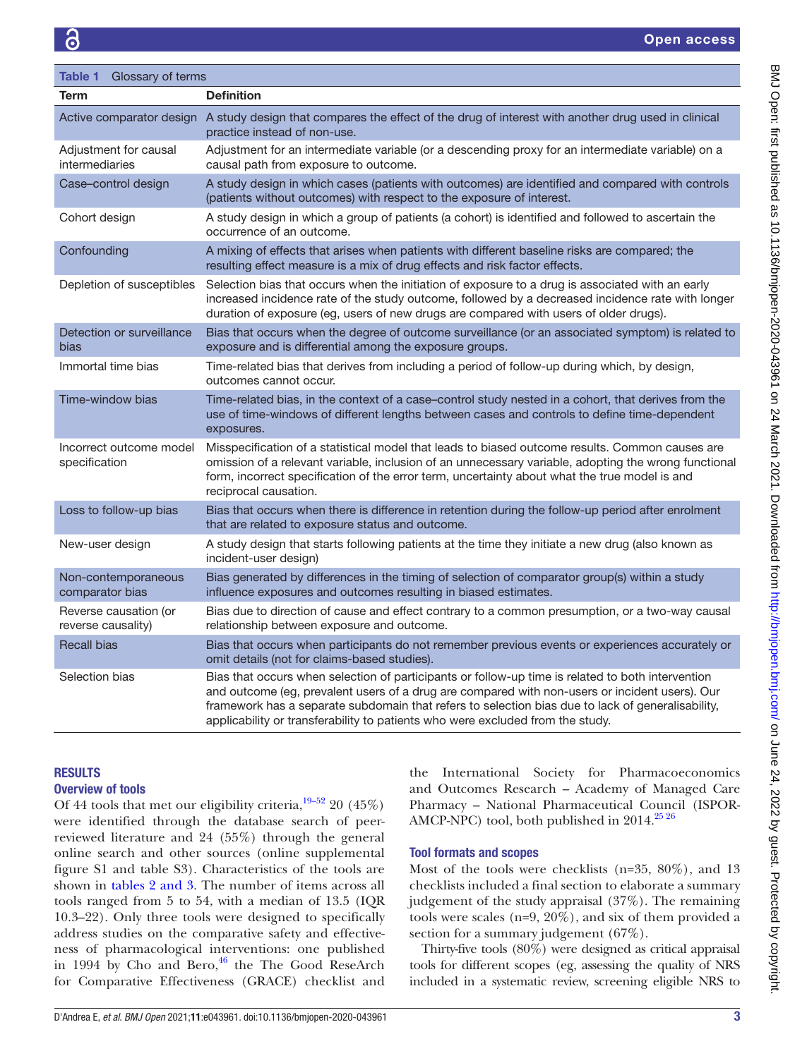<span id="page-2-0"></span>

| Glossary of terms<br>Table 1                |                                                                                                                                                                                                                                                                                                                                                                                            |
|---------------------------------------------|--------------------------------------------------------------------------------------------------------------------------------------------------------------------------------------------------------------------------------------------------------------------------------------------------------------------------------------------------------------------------------------------|
| <b>Term</b>                                 | <b>Definition</b>                                                                                                                                                                                                                                                                                                                                                                          |
|                                             | Active comparator design A study design that compares the effect of the drug of interest with another drug used in clinical<br>practice instead of non-use.                                                                                                                                                                                                                                |
| Adjustment for causal<br>intermediaries     | Adjustment for an intermediate variable (or a descending proxy for an intermediate variable) on a<br>causal path from exposure to outcome.                                                                                                                                                                                                                                                 |
| Case-control design                         | A study design in which cases (patients with outcomes) are identified and compared with controls<br>(patients without outcomes) with respect to the exposure of interest.                                                                                                                                                                                                                  |
| Cohort design                               | A study design in which a group of patients (a cohort) is identified and followed to ascertain the<br>occurrence of an outcome.                                                                                                                                                                                                                                                            |
| Confounding                                 | A mixing of effects that arises when patients with different baseline risks are compared; the<br>resulting effect measure is a mix of drug effects and risk factor effects.                                                                                                                                                                                                                |
| Depletion of susceptibles                   | Selection bias that occurs when the initiation of exposure to a drug is associated with an early<br>increased incidence rate of the study outcome, followed by a decreased incidence rate with longer<br>duration of exposure (eg, users of new drugs are compared with users of older drugs).                                                                                             |
| Detection or surveillance<br>bias           | Bias that occurs when the degree of outcome surveillance (or an associated symptom) is related to<br>exposure and is differential among the exposure groups.                                                                                                                                                                                                                               |
| Immortal time bias                          | Time-related bias that derives from including a period of follow-up during which, by design,<br>outcomes cannot occur.                                                                                                                                                                                                                                                                     |
| Time-window bias                            | Time-related bias, in the context of a case-control study nested in a cohort, that derives from the<br>use of time-windows of different lengths between cases and controls to define time-dependent<br>exposures.                                                                                                                                                                          |
| Incorrect outcome model<br>specification    | Misspecification of a statistical model that leads to biased outcome results. Common causes are<br>omission of a relevant variable, inclusion of an unnecessary variable, adopting the wrong functional<br>form, incorrect specification of the error term, uncertainty about what the true model is and<br>reciprocal causation.                                                          |
| Loss to follow-up bias                      | Bias that occurs when there is difference in retention during the follow-up period after enrolment<br>that are related to exposure status and outcome.                                                                                                                                                                                                                                     |
| New-user design                             | A study design that starts following patients at the time they initiate a new drug (also known as<br>incident-user design)                                                                                                                                                                                                                                                                 |
| Non-contemporaneous<br>comparator bias      | Bias generated by differences in the timing of selection of comparator group(s) within a study<br>influence exposures and outcomes resulting in biased estimates.                                                                                                                                                                                                                          |
| Reverse causation (or<br>reverse causality) | Bias due to direction of cause and effect contrary to a common presumption, or a two-way causal<br>relationship between exposure and outcome.                                                                                                                                                                                                                                              |
| <b>Recall bias</b>                          | Bias that occurs when participants do not remember previous events or experiences accurately or<br>omit details (not for claims-based studies).                                                                                                                                                                                                                                            |
| Selection bias                              | Bias that occurs when selection of participants or follow-up time is related to both intervention<br>and outcome (eg, prevalent users of a drug are compared with non-users or incident users). Our<br>framework has a separate subdomain that refers to selection bias due to lack of generalisability,<br>applicability or transferability to patients who were excluded from the study. |

# RESULTS

# Overview of tools

Of 44 tools that met our eligibility criteria,  $\frac{19-52}{2}$  20 (45%) were identified through the database search of peerreviewed literature and 24 (55%) through the general online search and other sources [\(online supplemental](https://dx.doi.org/10.1136/bmjopen-2020-043961) [figure S1 and table S3\)](https://dx.doi.org/10.1136/bmjopen-2020-043961). Characteristics of the tools are shown in tables [2 and 3](#page-3-0). The number of items across all tools ranged from 5 to 54, with a median of 13.5 (IQR 10.3–22). Only three tools were designed to specifically address studies on the comparative safety and effectiveness of pharmacological interventions: one published in 1994 by Cho and Bero, $^{46}$  the The Good ReseArch for Comparative Effectiveness (GRACE) checklist and

the International Society for Pharmacoeconomics and Outcomes Research – Academy of Managed Care Pharmacy – National Pharmaceutical Council (ISPOR-AMCP-NPC) tool, both published in  $2014$ <sup>25 26</sup>

# Tool formats and scopes

Most of the tools were checklists (n=35, 80%), and 13 checklists included a final section to elaborate a summary judgement of the study appraisal (37%). The remaining tools were scales (n=9, 20%), and six of them provided a section for a summary judgement (67%).

Thirty-five tools (80%) were designed as critical appraisal tools for different scopes (eg, assessing the quality of NRS included in a systematic review, screening eligible NRS to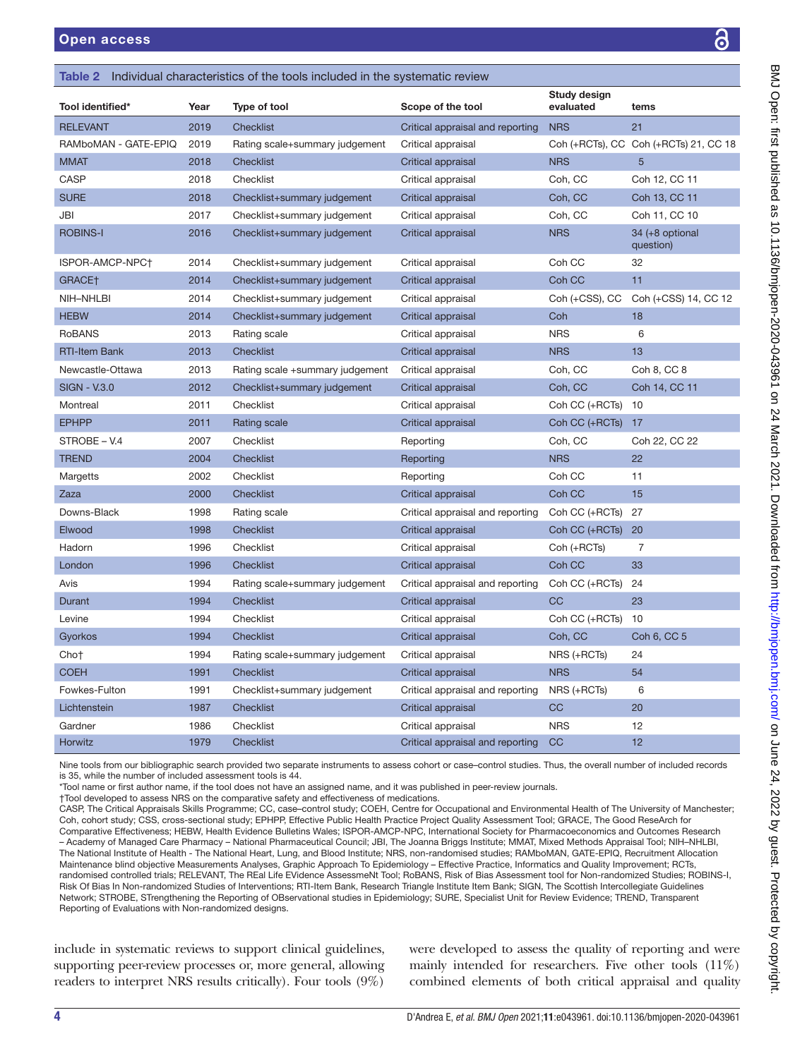Study design

| Tool identified*     | Year | Type of tool                    | Scope of the tool                | evaluated      | tems                                  |
|----------------------|------|---------------------------------|----------------------------------|----------------|---------------------------------------|
| <b>RELEVANT</b>      | 2019 | <b>Checklist</b>                | Critical appraisal and reporting | <b>NRS</b>     | 21                                    |
| RAMboMAN - GATE-EPIQ | 2019 | Rating scale+summary judgement  | Critical appraisal               |                | Coh (+RCTs), CC Coh (+RCTs) 21, CC 18 |
| <b>MMAT</b>          | 2018 | <b>Checklist</b>                | Critical appraisal               | <b>NRS</b>     | 5                                     |
| <b>CASP</b>          | 2018 | Checklist                       | Critical appraisal               | Coh, CC        | Coh 12, CC 11                         |
| <b>SURE</b>          | 2018 | Checklist+summary judgement     | Critical appraisal               | Coh, CC        | Coh 13, CC 11                         |
| <b>JBI</b>           | 2017 | Checklist+summary judgement     | Critical appraisal               | Coh, CC        | Coh 11, CC 10                         |
| <b>ROBINS-I</b>      | 2016 | Checklist+summary judgement     | Critical appraisal               | <b>NRS</b>     | 34 (+8 optional<br>question)          |
| ISPOR-AMCP-NPC+      | 2014 | Checklist+summary judgement     | Critical appraisal               | Coh CC         | 32                                    |
| GRACE <sup>+</sup>   | 2014 | Checklist+summary judgement     | Critical appraisal               | Coh CC         | 11                                    |
| NIH-NHLBI            | 2014 | Checklist+summary judgement     | Critical appraisal               | Coh (+CSS), CC | Coh (+CSS) 14, CC 12                  |
| <b>HEBW</b>          | 2014 | Checklist+summary judgement     | Critical appraisal               | Coh            | 18                                    |
| <b>RoBANS</b>        | 2013 | Rating scale                    | Critical appraisal               | <b>NRS</b>     | 6                                     |
| <b>RTI-Item Bank</b> | 2013 | <b>Checklist</b>                | Critical appraisal               | <b>NRS</b>     | 13                                    |
| Newcastle-Ottawa     | 2013 | Rating scale +summary judgement | Critical appraisal               | Coh, CC        | Coh 8, CC 8                           |
| <b>SIGN - V.3.0</b>  | 2012 | Checklist+summary judgement     | Critical appraisal               | Coh, CC        | Coh 14, CC 11                         |
| Montreal             | 2011 | Checklist                       | Critical appraisal               | Coh CC (+RCTs) | 10                                    |
| <b>EPHPP</b>         | 2011 | Rating scale                    | Critical appraisal               | Coh CC (+RCTs) | 17                                    |
| STROBE - V.4         | 2007 | Checklist                       | Reporting                        | Coh, CC        | Coh 22, CC 22                         |
| <b>TREND</b>         | 2004 | <b>Checklist</b>                | Reporting                        | <b>NRS</b>     | 22                                    |
| Margetts             | 2002 | Checklist                       | Reporting                        | Coh CC         | 11                                    |
| Zaza                 | 2000 | Checklist                       | Critical appraisal               | Coh CC         | 15                                    |
| Downs-Black          | 1998 | Rating scale                    | Critical appraisal and reporting | Coh CC (+RCTs) | 27                                    |
| Elwood               | 1998 | <b>Checklist</b>                | Critical appraisal               | Coh CC (+RCTs) | 20                                    |
| Hadorn               | 1996 | Checklist                       | Critical appraisal               | Coh (+RCTs)    | 7                                     |
| London               | 1996 | <b>Checklist</b>                | Critical appraisal               | Coh CC         | 33                                    |
| Avis                 | 1994 | Rating scale+summary judgement  | Critical appraisal and reporting | Coh CC (+RCTs) | 24                                    |
| Durant               | 1994 | <b>Checklist</b>                | Critical appraisal               | CC             | 23                                    |
| Levine               | 1994 | Checklist                       | Critical appraisal               | Coh CC (+RCTs) | 10                                    |
| Gyorkos              | 1994 | <b>Checklist</b>                | Critical appraisal               | Coh, CC        | Coh 6, CC 5                           |
| Cho†                 | 1994 | Rating scale+summary judgement  | Critical appraisal               | NRS (+RCTs)    | 24                                    |
| <b>COEH</b>          | 1991 | <b>Checklist</b>                | Critical appraisal               | <b>NRS</b>     | 54                                    |
| Fowkes-Fulton        | 1991 | Checklist+summary judgement     | Critical appraisal and reporting | NRS (+RCTs)    | 6                                     |
| Lichtenstein         | 1987 | <b>Checklist</b>                | Critical appraisal               | CC             | 20                                    |
| Gardner              | 1986 | Checklist                       | Critical appraisal               | <b>NRS</b>     | 12                                    |
| <b>Horwitz</b>       | 1979 | <b>Checklist</b>                | Critical appraisal and reporting | CC             | 12                                    |

Nine tools from our bibliographic search provided two separate instruments to assess cohort or case–control studies. Thus, the overall number of included records is 35, while the number of included assessment tools is 44.

\*Tool name or first author name, if the tool does not have an assigned name, and it was published in peer-review journals.

†Tool developed to assess NRS on the comparative safety and effectiveness of medications.

<span id="page-3-0"></span>**Table 2** Individual characteristics of the tools included in the systematic review

CASP, The Critical Appraisals Skills Programme; CC, case–control study; COEH, Centre for Occupational and Environmental Health of The University of Manchester; Coh, cohort study; CSS, cross-sectional study; EPHPP, Effective Public Health Practice Project Quality Assessment Tool; GRACE, The Good ReseArch for Comparative Effectiveness; HEBW, Health Evidence Bulletins Wales; ISPOR-AMCP-NPC, International Society for Pharmacoeconomics and Outcomes Research – Academy of Managed Care Pharmacy – National Pharmaceutical Council; JBI, The Joanna Briggs Institute; MMAT, Mixed Methods Appraisal Tool; NIH–NHLBI, The National Institute of Health - The National Heart, Lung, and Blood Institute; NRS, non-randomised studies; RAMboMAN, GATE-EPIQ, Recruitment Allocation Maintenance blind objective Measurements Analyses, Graphic Approach To Epidemiology – Effective Practice, Informatics and Quality Improvement; RCTs, randomised controlled trials; RELEVANT, The REal Life EVidence AssessmeNt Tool; RoBANS, Risk of Bias Assessment tool for Non-randomized Studies; ROBINS-I, Risk Of Bias In Non-randomized Studies of Interventions; RTI-Item Bank, Research Triangle Institute Item Bank; SIGN, The Scottish Intercollegiate Guidelines Network; STROBE, STrengthening the Reporting of OBservational studies in Epidemiology; SURE, Specialist Unit for Review Evidence; TREND, Transparent Reporting of Evaluations with Non-randomized designs.

include in systematic reviews to support clinical guidelines, supporting peer-review processes or, more general, allowing readers to interpret NRS results critically). Four tools (9%)

were developed to assess the quality of reporting and were mainly intended for researchers. Five other tools (11%) combined elements of both critical appraisal and quality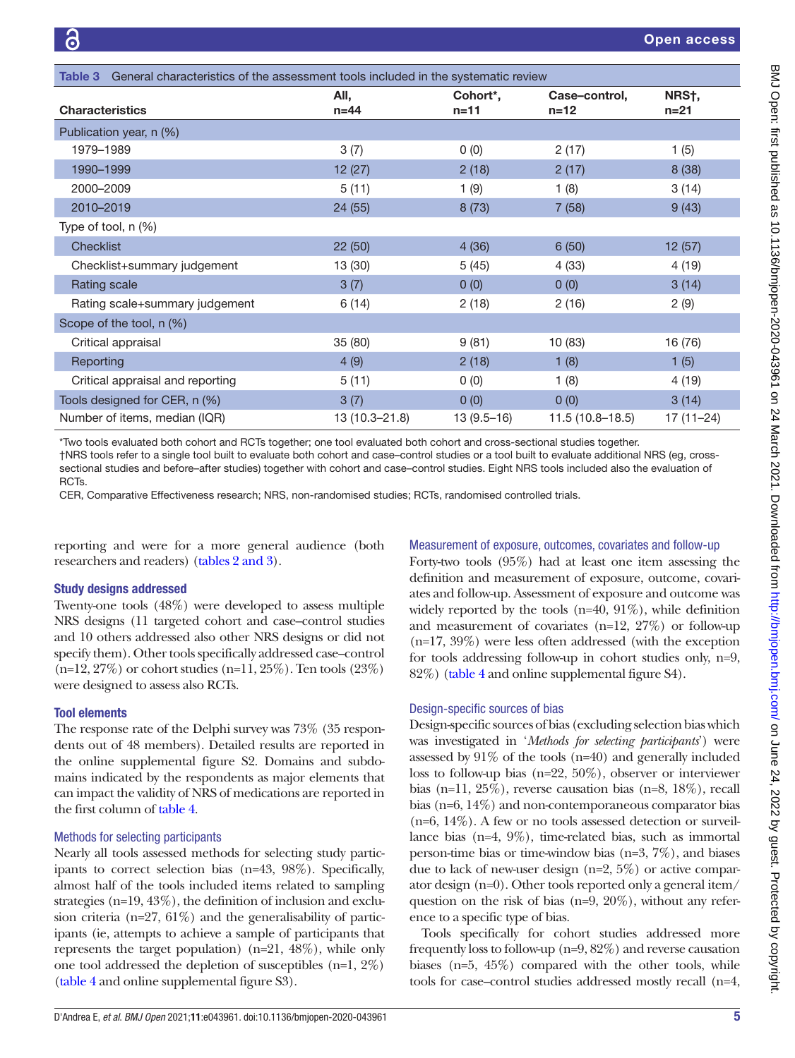| General characteristics of the assessment tools included in the systematic review<br>Table 3 |                |                                   |                           |               |  |  |  |
|----------------------------------------------------------------------------------------------|----------------|-----------------------------------|---------------------------|---------------|--|--|--|
| <b>Characteristics</b>                                                                       | All,<br>$n=44$ | Cohort <sup>*</sup> ,<br>$n = 11$ | Case-control,<br>$n = 12$ | NRSt.<br>n=21 |  |  |  |
| Publication year, n (%)                                                                      |                |                                   |                           |               |  |  |  |
| 1979-1989                                                                                    | 3(7)           | 0(0)                              | 2(17)                     | 1(5)          |  |  |  |
| 1990-1999                                                                                    | 12(27)         | 2(18)                             | 2(17)                     | 8(38)         |  |  |  |
| 2000-2009                                                                                    | 5(11)          | 1(9)                              | 1(8)                      | 3(14)         |  |  |  |
| 2010-2019                                                                                    | 24 (55)        | 8(73)                             | 7(58)                     | 9(43)         |  |  |  |
| Type of tool, $n$ $(\%)$                                                                     |                |                                   |                           |               |  |  |  |
| <b>Checklist</b>                                                                             | 22(50)         | 4(36)                             | 6(50)                     | 12(57)        |  |  |  |
| Checklist+summary judgement                                                                  | 13 (30)        | 5(45)                             | 4(33)                     | 4(19)         |  |  |  |
| Rating scale                                                                                 | 3(7)           | 0(0)                              | 0(0)                      | 3(14)         |  |  |  |
| Rating scale+summary judgement                                                               | 6(14)          | 2(18)                             | 2(16)                     | 2(9)          |  |  |  |
| Scope of the tool, n (%)                                                                     |                |                                   |                           |               |  |  |  |
| Critical appraisal                                                                           | 35 (80)        | 9(81)                             | 10 (83)                   | 16 (76)       |  |  |  |
| Reporting                                                                                    | 4(9)           | 2(18)                             | 1(8)                      | 1(5)          |  |  |  |
| Critical appraisal and reporting                                                             | 5(11)          | 0(0)                              | 1(8)                      | 4(19)         |  |  |  |
| Tools designed for CER, n (%)                                                                | 3(7)           | 0(0)                              | 0(0)                      | 3(14)         |  |  |  |
| Number of items, median (IQR)                                                                | 13 (10.3-21.8) | $13(9.5-16)$                      | $11.5(10.8 - 18.5)$       | $17(11 - 24)$ |  |  |  |

\*Two tools evaluated both cohort and RCTs together; one tool evaluated both cohort and cross-sectional studies together. †NRS tools refer to a single tool built to evaluate both cohort and case–control studies or a tool built to evaluate additional NRS (eg, crosssectional studies and before–after studies) together with cohort and case–control studies. Eight NRS tools included also the evaluation of RCTs.

CER, Comparative Effectiveness research; NRS, non-randomised studies; RCTs, randomised controlled trials.

reporting and were for a more general audience (both researchers and readers) (tables [2 and 3](#page-3-0)).

#### Study designs addressed

Twenty-one tools (48%) were developed to assess multiple NRS designs (11 targeted cohort and case–control studies and 10 others addressed also other NRS designs or did not specify them). Other tools specifically addressed case–control (n=12, 27%) or cohort studies (n=11, 25%). Ten tools (23%) were designed to assess also RCTs.

#### Tool elements

The response rate of the Delphi survey was 73% (35 respondents out of 48 members). Detailed results are reported in the [online supplemental figure S2.](https://dx.doi.org/10.1136/bmjopen-2020-043961) Domains and subdomains indicated by the respondents as major elements that can impact the validity of NRS of medications are reported in the first column of [table](#page-5-0) 4.

#### Methods for selecting participants

Nearly all tools assessed methods for selecting study participants to correct selection bias (n=43, 98%). Specifically, almost half of the tools included items related to sampling strategies (n=19, 43%), the definition of inclusion and exclusion criteria ( $n=27$ ,  $61\%$ ) and the generalisability of participants (ie, attempts to achieve a sample of participants that represents the target population) ( $n=21, 48\%$ ), while only one tool addressed the depletion of susceptibles (n=1, 2%) ([table](#page-5-0) 4 and [online supplemental figure S3](https://dx.doi.org/10.1136/bmjopen-2020-043961)).

Measurement of exposure, outcomes, covariates and follow-up

Forty-two tools (95%) had at least one item assessing the definition and measurement of exposure, outcome, covariates and follow-up. Assessment of exposure and outcome was widely reported by the tools (n=40, 91%), while definition and measurement of covariates (n=12, 27%) or follow-up (n=17, 39%) were less often addressed (with the exception for tools addressing follow-up in cohort studies only, n=9, 82%) [\(table](#page-5-0) 4 and [online supplemental figure S4\)](https://dx.doi.org/10.1136/bmjopen-2020-043961).

#### Design-specific sources of bias

Design-specific sources of bias (excluding selection bias which was investigated in '*Methods for selecting participants*') were assessed by 91% of the tools (n=40) and generally included loss to follow-up bias (n=22, 50%), observer or interviewer bias (n=11, 25%), reverse causation bias (n=8, 18%), recall bias (n=6, 14%) and non-contemporaneous comparator bias (n=6, 14%). A few or no tools assessed detection or surveillance bias (n=4, 9%), time-related bias, such as immortal person-time bias or time-window bias (n=3, 7%), and biases due to lack of new-user design (n=2, 5%) or active comparator design (n=0). Other tools reported only a general item/ question on the risk of bias (n=9, 20%), without any reference to a specific type of bias.

Tools specifically for cohort studies addressed more frequently loss to follow-up (n=9, 82%) and reverse causation biases (n=5, 45%) compared with the other tools, while tools for case–control studies addressed mostly recall (n=4,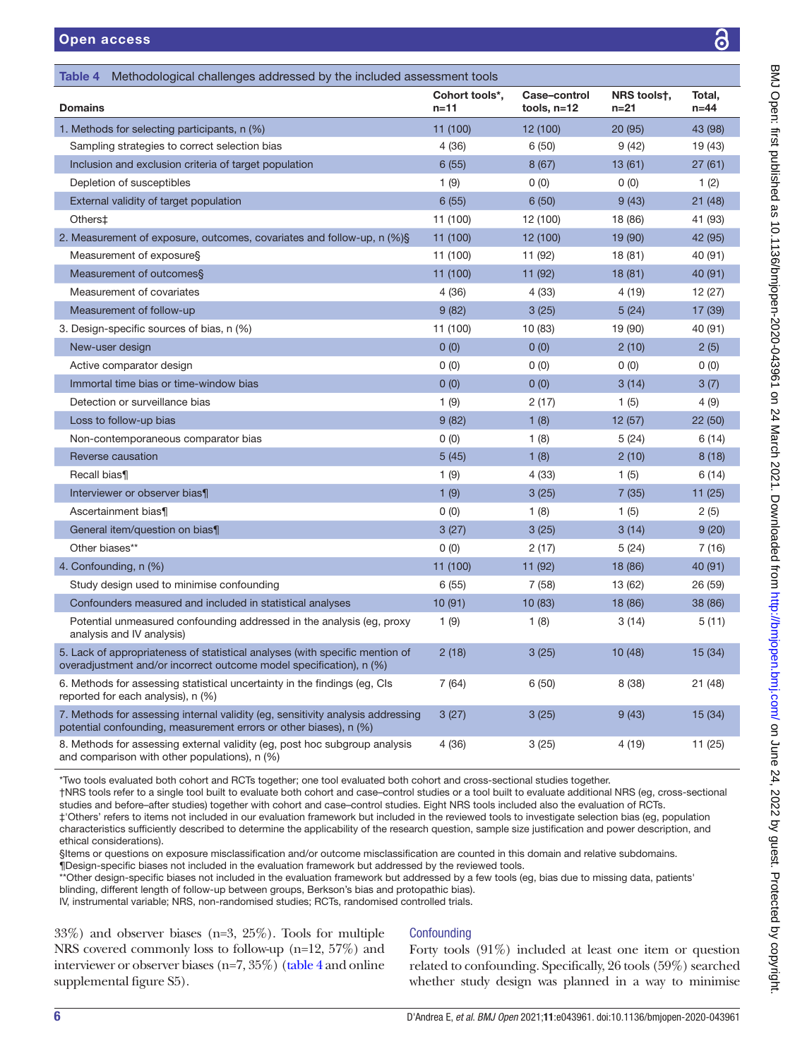<span id="page-5-0"></span>

| <b>Table 4</b> Methodological challenges addressed by the included assessment tools                                                                  |                            |                             |                         |                    |  |  |  |
|------------------------------------------------------------------------------------------------------------------------------------------------------|----------------------------|-----------------------------|-------------------------|--------------------|--|--|--|
| <b>Domains</b>                                                                                                                                       | Cohort tools*,<br>$n = 11$ | Case-control<br>tools, n=12 | NRS toolst,<br>$n = 21$ | Total,<br>$n = 44$ |  |  |  |
| 1. Methods for selecting participants, n (%)                                                                                                         | 11 (100)                   | 12 (100)                    | 20 (95)                 | 43 (98)            |  |  |  |
| Sampling strategies to correct selection bias                                                                                                        | 4(36)                      | 6(50)                       | 9(42)                   | 19 (43)            |  |  |  |
| Inclusion and exclusion criteria of target population                                                                                                | 6(55)                      | 8(67)                       | 13 (61)                 | 27(61)             |  |  |  |
| Depletion of susceptibles                                                                                                                            | 1(9)                       | 0(0)                        | 0(0)                    | 1(2)               |  |  |  |
| External validity of target population                                                                                                               | 6(55)                      | 6(50)                       | 9(43)                   | 21 (48)            |  |  |  |
| Others‡                                                                                                                                              | 11 (100)                   | 12 (100)                    | 18 (86)                 | 41 (93)            |  |  |  |
| 2. Measurement of exposure, outcomes, covariates and follow-up, n (%)§                                                                               | 11 (100)                   | 12 (100)                    | 19 (90)                 | 42 (95)            |  |  |  |
| Measurement of exposure§                                                                                                                             | 11 (100)                   | 11 (92)                     | 18 (81)                 | 40 (91)            |  |  |  |
| Measurement of outcomes§                                                                                                                             | 11 (100)                   | 11 (92)                     | 18 (81)                 | 40 (91)            |  |  |  |
| Measurement of covariates                                                                                                                            | 4(36)                      | 4(33)                       | 4 (19)                  | 12 (27)            |  |  |  |
| Measurement of follow-up                                                                                                                             | 9(82)                      | 3(25)                       | 5(24)                   | 17 (39)            |  |  |  |
| 3. Design-specific sources of bias, n (%)                                                                                                            | 11 (100)                   | 10 (83)                     | 19 (90)                 | 40 (91)            |  |  |  |
| New-user design                                                                                                                                      | 0(0)                       | 0(0)                        | 2(10)                   | 2(5)               |  |  |  |
| Active comparator design                                                                                                                             | 0(0)                       | 0(0)                        | 0(0)                    | 0(0)               |  |  |  |
| Immortal time bias or time-window bias                                                                                                               | 0(0)                       | 0(0)                        | 3(14)                   | 3(7)               |  |  |  |
| Detection or surveillance bias                                                                                                                       | 1(9)                       | 2(17)                       | 1(5)                    | 4(9)               |  |  |  |
| Loss to follow-up bias                                                                                                                               | 9(82)                      | 1(8)                        | 12(57)                  | 22 (50)            |  |  |  |
| Non-contemporaneous comparator bias                                                                                                                  | 0(0)                       | 1(8)                        | 5(24)                   | 6(14)              |  |  |  |
| Reverse causation                                                                                                                                    | 5(45)                      | 1(8)                        | 2(10)                   | 8(18)              |  |  |  |
| Recall bias¶                                                                                                                                         | 1(9)                       | 4(33)                       | 1(5)                    | 6 (14)             |  |  |  |
| Interviewer or observer bias¶                                                                                                                        | 1(9)                       | 3(25)                       | 7(35)                   | 11(25)             |  |  |  |
| Ascertainment bias¶                                                                                                                                  | 0(0)                       | 1(8)                        | 1(5)                    | 2(5)               |  |  |  |
| General item/question on bias¶                                                                                                                       | 3(27)                      | 3(25)                       | 3(14)                   | 9(20)              |  |  |  |
| Other biases**                                                                                                                                       | 0(0)                       | 2(17)                       | 5(24)                   | 7 (16)             |  |  |  |
| 4. Confounding, n (%)                                                                                                                                | 11 (100)                   | 11 (92)                     | 18 (86)                 | 40 (91)            |  |  |  |
| Study design used to minimise confounding                                                                                                            | 6(55)                      | 7(58)                       | 13 (62)                 | 26 (59)            |  |  |  |
| Confounders measured and included in statistical analyses                                                                                            | 10(91)                     | 10 (83)                     | 18 (86)                 | 38 (86)            |  |  |  |
| Potential unmeasured confounding addressed in the analysis (eg, proxy<br>analysis and IV analysis)                                                   | 1 $(9)$                    | 1(8)                        | 3 (14)                  | 5(11)              |  |  |  |
| 5. Lack of appropriateness of statistical analyses (with specific mention of<br>overadjustment and/or incorrect outcome model specification), n (%)  | 2(18)                      | 3(25)                       | 10 (48)                 | 15 (34)            |  |  |  |
| 6. Methods for assessing statistical uncertainty in the findings (eg, CIs<br>reported for each analysis), n (%)                                      | 7(64)                      | 6(50)                       | 8(38)                   | 21 (48)            |  |  |  |
| 7. Methods for assessing internal validity (eg, sensitivity analysis addressing<br>potential confounding, measurement errors or other biases), n (%) | 3(27)                      | 3(25)                       | 9(43)                   | 15(34)             |  |  |  |
| 8. Methods for assessing external validity (eg, post hoc subgroup analysis<br>and comparison with other populations), n (%)                          | 4(36)                      | 3(25)                       | 4(19)                   | 11 (25)            |  |  |  |

\*Two tools evaluated both cohort and RCTs together; one tool evaluated both cohort and cross-sectional studies together.

†NRS tools refer to a single tool built to evaluate both cohort and case–control studies or a tool built to evaluate additional NRS (eg, cross-sectional studies and before–after studies) together with cohort and case–control studies. Eight NRS tools included also the evaluation of RCTs. ‡'Others' refers to items not included in our evaluation framework but included in the reviewed tools to investigate selection bias (eg, population

characteristics sufficiently described to determine the applicability of the research question, sample size justification and power description, and ethical considerations).

§Items or questions on exposure misclassification and/or outcome misclassification are counted in this domain and relative subdomains. ¶Design-specific biases not included in the evaluation framework but addressed by the reviewed tools.

\*\*Other design-specific biases not included in the evaluation framework but addressed by a few tools (eg, bias due to missing data, patients' blinding, different length of follow-up between groups, Berkson's bias and protopathic bias).

IV, instrumental variable; NRS, non-randomised studies; RCTs, randomised controlled trials.

33%) and observer biases (n=3, 25%). Tools for multiple NRS covered commonly loss to follow-up (n=12, 57%) and interviewer or observer biases (n=7, 35%) [\(table](#page-5-0) 4 and [online](https://dx.doi.org/10.1136/bmjopen-2020-043961) [supplemental figure S5](https://dx.doi.org/10.1136/bmjopen-2020-043961)).

# **Confounding**

Forty tools (91%) included at least one item or question related to confounding. Specifically, 26 tools (59%) searched whether study design was planned in a way to minimise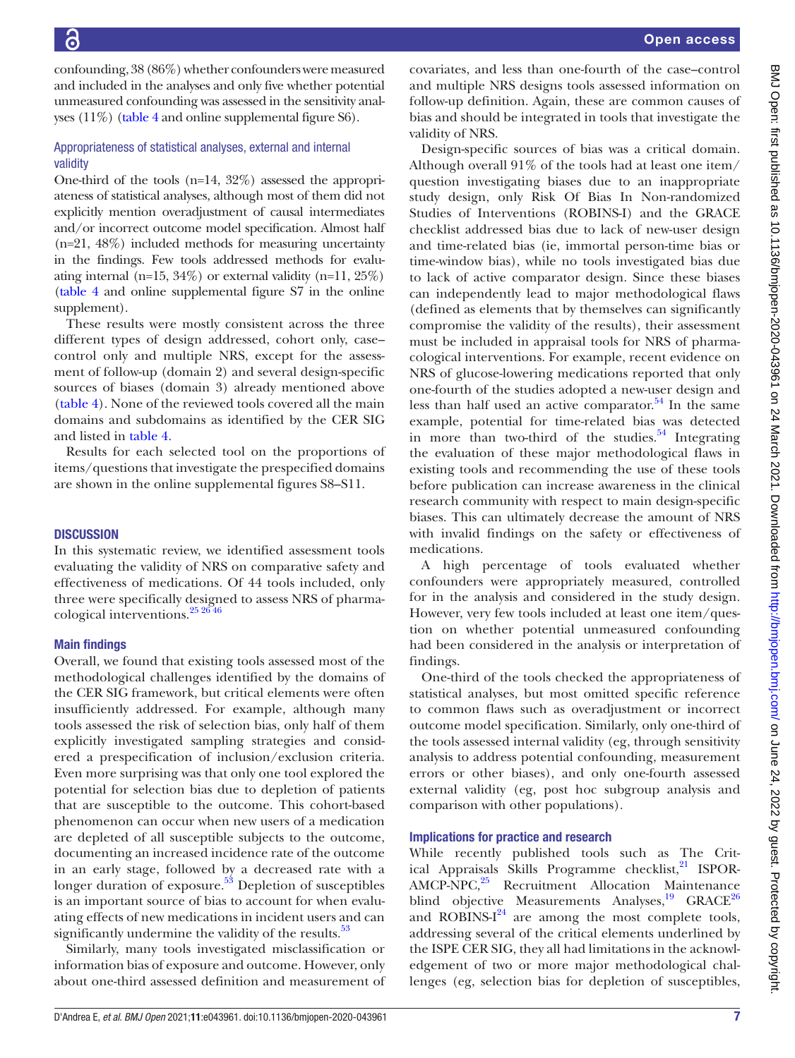confounding, 38 (86%) whether confounders were measured and included in the analyses and only five whether potential unmeasured confounding was assessed in the sensitivity analyses (11%) [\(table](#page-5-0) 4 and [online supplemental figure S6\)](https://dx.doi.org/10.1136/bmjopen-2020-043961).

# Appropriateness of statistical analyses, external and internal validity

One-third of the tools (n=14, 32%) assessed the appropriateness of statistical analyses, although most of them did not explicitly mention overadjustment of causal intermediates and/or incorrect outcome model specification. Almost half  $(n=21, 48\%)$  included methods for measuring uncertainty in the findings. Few tools addressed methods for evaluating internal (n=15, 34%) or external validity (n=11, 25%) ([table](#page-5-0) 4 and [online supplemental figure S7](https://dx.doi.org/10.1136/bmjopen-2020-043961) in the online supplement).

These results were mostly consistent across the three different types of design addressed, cohort only, case– control only and multiple NRS, except for the assessment of follow-up (domain 2) and several design-specific sources of biases (domain 3) already mentioned above ([table](#page-5-0) 4). None of the reviewed tools covered all the main domains and subdomains as identified by the CER SIG and listed in [table](#page-5-0) 4.

Results for each selected tool on the proportions of items/questions that investigate the prespecified domains are shown in the [online supplemental figures S8–S11](https://dx.doi.org/10.1136/bmjopen-2020-043961).

#### **DISCUSSION**

In this systematic review, we identified assessment tools evaluating the validity of NRS on comparative safety and effectiveness of medications. Of 44 tools included, only three were specifically designed to assess NRS of pharmacological interventions.[25 26 46](#page-8-11)

#### Main findings

Overall, we found that existing tools assessed most of the methodological challenges identified by the domains of the CER SIG framework, but critical elements were often insufficiently addressed. For example, although many tools assessed the risk of selection bias, only half of them explicitly investigated sampling strategies and considered a prespecification of inclusion/exclusion criteria. Even more surprising was that only one tool explored the potential for selection bias due to depletion of patients that are susceptible to the outcome. This cohort-based phenomenon can occur when new users of a medication are depleted of all susceptible subjects to the outcome, documenting an increased incidence rate of the outcome in an early stage, followed by a decreased rate with a longer duration of exposure. $5<sup>3</sup>$  Depletion of susceptibles is an important source of bias to account for when evaluating effects of new medications in incident users and can significantly undermine the validity of the results.<sup>53</sup>

Similarly, many tools investigated misclassification or information bias of exposure and outcome. However, only about one-third assessed definition and measurement of

covariates, and less than one-fourth of the case–control and multiple NRS designs tools assessed information on follow-up definition. Again, these are common causes of bias and should be integrated in tools that investigate the validity of NRS.

Design-specific sources of bias was a critical domain. Although overall 91% of the tools had at least one item/ question investigating biases due to an inappropriate study design, only Risk Of Bias In Non-randomized Studies of Interventions (ROBINS-I) and the GRACE checklist addressed bias due to lack of new-user design and time-related bias (ie, immortal person-time bias or time-window bias), while no tools investigated bias due to lack of active comparator design. Since these biases can independently lead to major methodological flaws (defined as elements that by themselves can significantly compromise the validity of the results), their assessment must be included in appraisal tools for NRS of pharmacological interventions. For example, recent evidence on NRS of glucose-lowering medications reported that only one-fourth of the studies adopted a new-user design and less than half used an active comparator.<sup>[54](#page-9-2)</sup> In the same example, potential for time-related bias was detected in more than two-third of the studies. $54$  Integrating the evaluation of these major methodological flaws in existing tools and recommending the use of these tools before publication can increase awareness in the clinical research community with respect to main design-specific biases. This can ultimately decrease the amount of NRS with invalid findings on the safety or effectiveness of medications.

A high percentage of tools evaluated whether confounders were appropriately measured, controlled for in the analysis and considered in the study design. However, very few tools included at least one item/question on whether potential unmeasured confounding had been considered in the analysis or interpretation of findings.

One-third of the tools checked the appropriateness of statistical analyses, but most omitted specific reference to common flaws such as overadjustment or incorrect outcome model specification. Similarly, only one-third of the tools assessed internal validity (eg, through sensitivity analysis to address potential confounding, measurement errors or other biases), and only one-fourth assessed external validity (eg, post hoc subgroup analysis and comparison with other populations).

# Implications for practice and research

While recently published tools such as The Critical Appraisals Skills Programme checklist, $^{21}$  ISPOR-AMCP-NPC,<sup>25</sup> Recruitment Allocation Maintenance blind objective Measurements Analyses,<sup>19</sup> GRACE<sup>[26](#page-8-13)</sup> and ROBINS- $I^{24}$  $I^{24}$  $I^{24}$  are among the most complete tools, addressing several of the critical elements underlined by the ISPE CER SIG, they all had limitations in the acknowledgement of two or more major methodological challenges (eg, selection bias for depletion of susceptibles,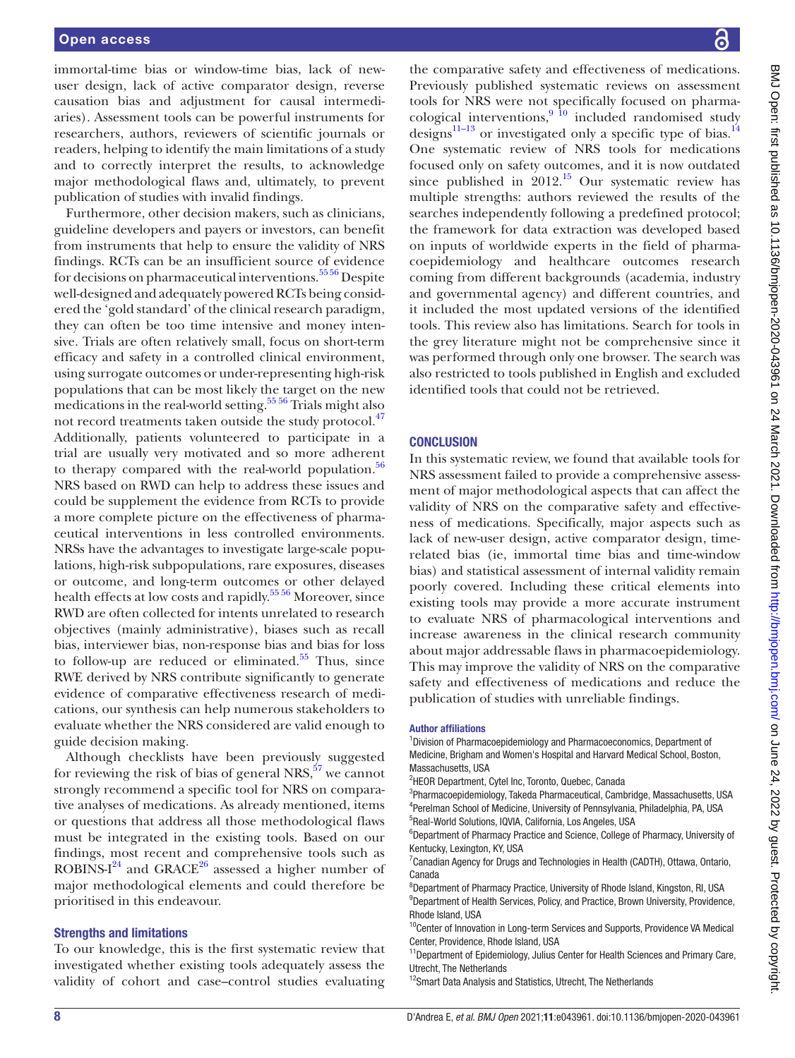#### Open access

immortal-time bias or window-time bias, lack of newuser design, lack of active comparator design, reverse causation bias and adjustment for causal intermediaries). Assessment tools can be powerful instruments for researchers, authors, reviewers of scientific journals or readers, helping to identify the main limitations of a study and to correctly interpret the results, to acknowledge major methodological flaws and, ultimately, to prevent publication of studies with invalid findings.

Furthermore, other decision makers, such as clinicians, guideline developers and payers or investors, can benefit from instruments that help to ensure the validity of NRS findings. RCTs can be an insufficient source of evidence for decisions on pharmaceutical interventions.<sup>5556</sup> Despite well-designed and adequately powered RCTs being considered the 'gold standard' of the clinical research paradigm, they can often be too time intensive and money intensive. Trials are often relatively small, focus on short-term efficacy and safety in a controlled clinical environment, using surrogate outcomes or under-representing high-risk populations that can be most likely the target on the new  $\frac{1}{1}$  medications in the real-world setting.<sup>5556</sup> Trials might also not record treatments taken outside the study protocol.<sup>[47](#page-9-4)</sup> Additionally, patients volunteered to participate in a trial are usually very motivated and so more adherent to therapy compared with the real-world population. $56$ NRS based on RWD can help to address these issues and could be supplement the evidence from RCTs to provide a more complete picture on the effectiveness of pharmaceutical interventions in less controlled environments. NRSs have the advantages to investigate large-scale populations, high-risk subpopulations, rare exposures, diseases or outcome, and long-term outcomes or other delayed health effects at low costs and rapidly.<sup>55</sup> 56 Moreover, since RWD are often collected for intents unrelated to research objectives (mainly administrative), biases such as recall bias, interviewer bias, non-response bias and bias for loss to follow-up are reduced or eliminated. $55$  Thus, since RWE derived by NRS contribute significantly to generate evidence of comparative effectiveness research of medications, our synthesis can help numerous stakeholders to evaluate whether the NRS considered are valid enough to guide decision making.

Although checklists have been previously suggested for reviewing the risk of bias of general NRS, $57$  we cannot strongly recommend a specific tool for NRS on comparative analyses of medications. As already mentioned, items or questions that address all those methodological flaws must be integrated in the existing tools. Based on our findings, most recent and comprehensive tools such as ROBINS-I $^{24}$  and GRACE<sup>26</sup> assessed a higher number of major methodological elements and could therefore be prioritised in this endeavour.

#### Strengths and limitations

To our knowledge, this is the first systematic review that investigated whether existing tools adequately assess the validity of cohort and case–control studies evaluating

the comparative safety and effectiveness of medications. Previously published systematic reviews on assessment tools for NRS were not specifically focused on pharmacological interventions,  $9\frac{10}{10}$  included randomised study designs<sup>11–13</sup> or investigated only a specific type of bias.<sup>[14](#page-8-5)</sup> One systematic review of NRS tools for medications focused only on safety outcomes, and it is now outdated since published in  $2012<sup>15</sup>$  $2012<sup>15</sup>$  $2012<sup>15</sup>$  Our systematic review has multiple strengths: authors reviewed the results of the searches independently following a predefined protocol; the framework for data extraction was developed based on inputs of worldwide experts in the field of pharmacoepidemiology and healthcare outcomes research coming from different backgrounds (academia, industry and governmental agency) and different countries, and it included the most updated versions of the identified tools. This review also has limitations. Search for tools in the grey literature might not be comprehensive since it was performed through only one browser. The search was also restricted to tools published in English and excluded identified tools that could not be retrieved.

#### **CONCLUSION**

In this systematic review, we found that available tools for NRS assessment failed to provide a comprehensive assessment of major methodological aspects that can affect the validity of NRS on the comparative safety and effectiveness of medications. Specifically, major aspects such as lack of new-user design, active comparator design, timerelated bias (ie, immortal time bias and time-window bias) and statistical assessment of internal validity remain poorly covered. Including these critical elements into existing tools may provide a more accurate instrument to evaluate NRS of pharmacological interventions and increase awareness in the clinical research community about major addressable flaws in pharmacoepidemiology. This may improve the validity of NRS on the comparative safety and effectiveness of medications and reduce the publication of studies with unreliable findings.

#### Author affiliations

<sup>1</sup> Division of Pharmacoepidemiology and Pharmacoeconomics, Department of Medicine, Brigham and Women's Hospital and Harvard Medical School, Boston, Massachusetts, USA

3 Pharmacoepidemiology, Takeda Pharmaceutical, Cambridge, Massachusetts, USA 4 Perelman School of Medicine, University of Pennsylvania, Philadelphia, PA, USA 5 Real-World Solutions, IQVIA, California, Los Angeles, USA

<sup>6</sup>Department of Pharmacy Practice and Science, College of Pharmacy, University of Kentucky, Lexington, KY, USA

<sup>7</sup> Canadian Agency for Drugs and Technologies in Health (CADTH), Ottawa, Ontario, Canada

<sup>8</sup>Department of Pharmacy Practice, University of Rhode Island, Kingston, RI, USA <sup>9</sup>Department of Health Services, Policy, and Practice, Brown University, Providence, Rhode Island, USA

<sup>10</sup>Center of Innovation in Long-term Services and Supports, Providence VA Medical Center, Providence, Rhode Island, USA

<sup>11</sup>Department of Epidemiology, Julius Center for Health Sciences and Primary Care, Utrecht, The Netherlands

<sup>12</sup>Smart Data Analysis and Statistics, Utrecht, The Netherlands

<sup>&</sup>lt;sup>2</sup>HEOR Department, Cytel Inc, Toronto, Quebec, Canada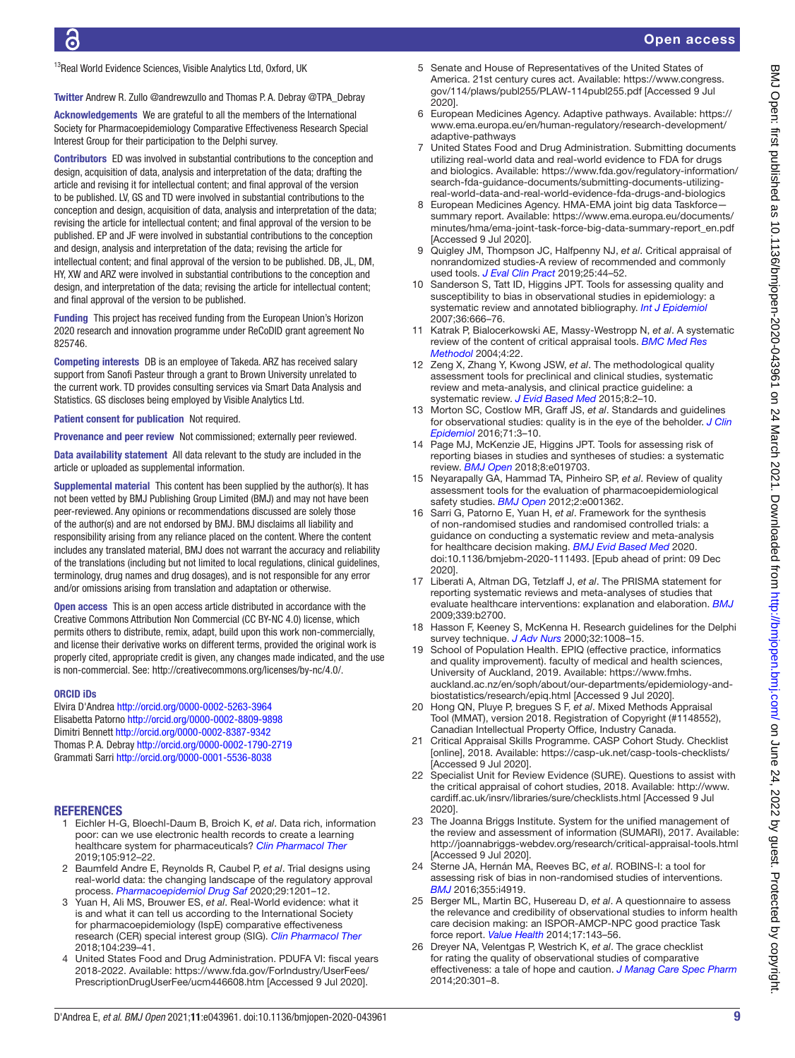<sup>13</sup>Real World Evidence Sciences, Visible Analytics Ltd, Oxford, UK

Twitter Andrew R. Zullo [@andrewzullo](https://twitter.com/andrewzullo) and Thomas P. A. Debray [@TPA\\_Debray](https://twitter.com/TPA_Debray)

Acknowledgements We are grateful to all the members of the International Society for Pharmacoepidemiology Comparative Effectiveness Research Special Interest Group for their participation to the Delphi survey.

Contributors ED was involved in substantial contributions to the conception and design, acquisition of data, analysis and interpretation of the data; drafting the article and revising it for intellectual content; and final approval of the version to be published. LV, GS and TD were involved in substantial contributions to the conception and design, acquisition of data, analysis and interpretation of the data; revising the article for intellectual content; and final approval of the version to be published. EP and JF were involved in substantial contributions to the conception and design, analysis and interpretation of the data; revising the article for intellectual content; and final approval of the version to be published. DB, JL, DM, HY, XW and ARZ were involved in substantial contributions to the conception and design, and interpretation of the data; revising the article for intellectual content; and final approval of the version to be published.

Funding This project has received funding from the European Union's Horizon 2020 research and innovation programme under ReCoDID grant agreement No 825746.

Competing interests DB is an employee of Takeda. ARZ has received salary support from Sanofi Pasteur through a grant to Brown University unrelated to the current work. TD provides consulting services via Smart Data Analysis and Statistics. GS discloses being employed by Visible Analytics Ltd.

Patient consent for publication Not required.

Provenance and peer review Not commissioned; externally peer reviewed.

Data availability statement All data relevant to the study are included in the article or uploaded as supplemental information.

Supplemental material This content has been supplied by the author(s). It has not been vetted by BMJ Publishing Group Limited (BMJ) and may not have been peer-reviewed. Any opinions or recommendations discussed are solely those of the author(s) and are not endorsed by BMJ. BMJ disclaims all liability and responsibility arising from any reliance placed on the content. Where the content includes any translated material, BMJ does not warrant the accuracy and reliability of the translations (including but not limited to local regulations, clinical guidelines, terminology, drug names and drug dosages), and is not responsible for any error and/or omissions arising from translation and adaptation or otherwise.

Open access This is an open access article distributed in accordance with the Creative Commons Attribution Non Commercial (CC BY-NC 4.0) license, which permits others to distribute, remix, adapt, build upon this work non-commercially, and license their derivative works on different terms, provided the original work is properly cited, appropriate credit is given, any changes made indicated, and the use is non-commercial. See: [http://creativecommons.org/licenses/by-nc/4.0/.](http://creativecommons.org/licenses/by-nc/4.0/)

#### ORCID iDs

Elvira D'Andrea <http://orcid.org/0000-0002-5263-3964> Elisabetta Patorno <http://orcid.org/0000-0002-8809-9898> Dimitri Bennett <http://orcid.org/0000-0002-8387-9342> Thomas P. A. Debray <http://orcid.org/0000-0002-1790-2719> Grammati Sarri<http://orcid.org/0000-0001-5536-8038>

#### <span id="page-8-0"></span>**REFERENCES**

- 1 Eichler H-G, Bloechl-Daum B, Broich K, *et al*. Data rich, information poor: can we use electronic health records to create a learning healthcare system for pharmaceuticals? *[Clin Pharmacol Ther](http://dx.doi.org/10.1002/cpt.1226)* 2019;105:912–22.
- 2 Baumfeld Andre E, Reynolds R, Caubel P, *et al*. Trial designs using real-world data: the changing landscape of the regulatory approval process. *[Pharmacoepidemiol Drug Saf](http://dx.doi.org/10.1002/pds.4932)* 2020;29:1201–12.
- 3 Yuan H, Ali MS, Brouwer ES, *et al*. Real-World evidence: what it is and what it can tell us according to the International Society for pharmacoepidemiology (IspE) comparative effectiveness research (CER) special interest group (SIG). *[Clin Pharmacol Ther](http://dx.doi.org/10.1002/cpt.1086)* 2018;104:239–41.
- <span id="page-8-1"></span>4 United States Food and Drug Administration. PDUFA VI: fiscal years 2018‐2022. Available: [https://www.fda.gov/ForIndustry/UserFees/](https://www.fda.gov/ForIndustry/UserFees/PrescriptionDrugUserFee/ucm446608.htm) [PrescriptionDrugUserFee/ucm446608.htm](https://www.fda.gov/ForIndustry/UserFees/PrescriptionDrugUserFee/ucm446608.htm) [Accessed 9 Jul 2020].
- 5 Senate and House of Representatives of the United States of America. 21st century cures act. Available: [https://www.congress.](https://www.congress.gov/114/plaws/publ255/PLAW‐114publ255.pdf) [gov/114/plaws/publ255/PLAW‐114publ255.pdf](https://www.congress.gov/114/plaws/publ255/PLAW‐114publ255.pdf) [Accessed 9 Jul 2020].
- <span id="page-8-2"></span>6 European Medicines Agency. Adaptive pathways. Available: [https://](https://www.ema.europa.eu/en/human‐regulatory/research‐development/adaptive‐pathways) [www.ema.europa.eu/en/human‐regulatory/research‐development/](https://www.ema.europa.eu/en/human‐regulatory/research‐development/adaptive‐pathways) [adaptive‐pathways](https://www.ema.europa.eu/en/human‐regulatory/research‐development/adaptive‐pathways)
- <span id="page-8-3"></span>7 United States Food and Drug Administration. Submitting documents utilizing real‐world data and real‐world evidence to FDA for drugs and biologics. Available: [https://www.fda.gov/regulatory‐information/](https://www.fda.gov/regulatory‐information/search‐fda‐guidance‐documents/submitting‐documents‐utilizing‐real‐world‐data‐and‐real‐world‐evidence‐fda‐drugs‐and‐biologics) search-fda-guidance-documents/submitting-documents-utilizing[real‐world‐data‐and‐real‐world‐evidence‐fda‐drugs‐and‐biologics](https://www.fda.gov/regulatory‐information/search‐fda‐guidance‐documents/submitting‐documents‐utilizing‐real‐world‐data‐and‐real‐world‐evidence‐fda‐drugs‐and‐biologics)
- European Medicines Agency. HMA-EMA joint big data Taskforce summary report. Available: [https://www.ema.europa.eu/documents/](https://www.ema.europa.eu/documents/minutes/hma/ema‐joint‐task‐force‐big‐data‐summary‐report_en.pdf) [minutes/hma/ema‐joint‐task‐force‐big‐data‐summary‐report\\_en.pdf](https://www.ema.europa.eu/documents/minutes/hma/ema‐joint‐task‐force‐big‐data‐summary‐report_en.pdf) [Accessed 9 Jul 2020].
- <span id="page-8-4"></span>9 Quigley JM, Thompson JC, Halfpenny NJ, *et al*. Critical appraisal of nonrandomized studies-A review of recommended and commonly used tools. *[J Eval Clin Pract](http://dx.doi.org/10.1111/jep.12889)* 2019;25:44–52.
- 10 Sanderson S, Tatt ID, Higgins JPT. Tools for assessing quality and susceptibility to bias in observational studies in epidemiology: a systematic review and annotated bibliography. *[Int J Epidemiol](http://dx.doi.org/10.1093/ije/dym018)* 2007;36:666–76.
- <span id="page-8-15"></span>11 Katrak P, Bialocerkowski AE, Massy-Westropp N, *et al*. A systematic review of the content of critical appraisal tools. *[BMC Med Res](http://dx.doi.org/10.1186/1471-2288-4-22)  [Methodol](http://dx.doi.org/10.1186/1471-2288-4-22)* 2004;4:22.
- 12 Zeng X, Zhang Y, Kwong JSW, *et al*. The methodological quality assessment tools for preclinical and clinical studies, systematic review and meta-analysis, and clinical practice guideline: a systematic review. *[J Evid Based Med](http://dx.doi.org/10.1111/jebm.12141)* 2015;8:2–10.
- 13 Morton SC, Costlow MR, Graff JS, *et al*. Standards and guidelines for observational studies: quality is in the eye of the beholder. *[J Clin](http://dx.doi.org/10.1016/j.jclinepi.2015.10.014)  [Epidemiol](http://dx.doi.org/10.1016/j.jclinepi.2015.10.014)* 2016;71:3–10.
- <span id="page-8-5"></span>14 Page MJ, McKenzie JE, Higgins JPT. Tools for assessing risk of reporting biases in studies and syntheses of studies: a systematic review. *[BMJ Open](http://dx.doi.org/10.1136/bmjopen-2017-019703)* 2018;8:e019703.
- <span id="page-8-6"></span>15 Neyarapally GA, Hammad TA, Pinheiro SP, *et al*. Review of quality assessment tools for the evaluation of pharmacoepidemiological safety studies. *[BMJ Open](http://dx.doi.org/10.1136/bmjopen-2012-001362)* 2012;2:e001362.
- <span id="page-8-7"></span>16 Sarri G, Patorno E, Yuan H, *et al*. Framework for the synthesis of non-randomised studies and randomised controlled trials: a guidance on conducting a systematic review and meta-analysis for healthcare decision making. *[BMJ Evid Based Med](http://dx.doi.org/10.1136/bmjebm-2020-111493)* 2020. doi:10.1136/bmjebm-2020-111493. [Epub ahead of print: 09 Dec 2020].
- <span id="page-8-8"></span>17 Liberati A, Altman DG, Tetzlaff J, *et al*. The PRISMA statement for reporting systematic reviews and meta-analyses of studies that evaluate healthcare interventions: explanation and elaboration. *[BMJ](http://dx.doi.org/10.1136/bmj.b2700)* 2009;339:b2700.
- <span id="page-8-9"></span>18 Hasson F, Keeney S, McKenna H. Research guidelines for the Delphi survey technique. *[J Adv Nurs](http://www.ncbi.nlm.nih.gov/pubmed/11095242)* 2000;32:1008–15.
- <span id="page-8-10"></span>19 School of Population Health. EPIQ (effective practice, informatics and quality improvement). faculty of medical and health sciences, University of Auckland, 2019. Available: [https://www.fmhs.](https://www.fmhs.auckland.ac.nz/en/soph/about/our-departments/epidemiology-and-biostatistics/research/epiq.html) [auckland.ac.nz/en/soph/about/our-departments/epidemiology-and](https://www.fmhs.auckland.ac.nz/en/soph/about/our-departments/epidemiology-and-biostatistics/research/epiq.html)[biostatistics/research/epiq.html](https://www.fmhs.auckland.ac.nz/en/soph/about/our-departments/epidemiology-and-biostatistics/research/epiq.html) [Accessed 9 Jul 2020].
- 20 Hong QN, Pluye P, bregues S F, *et al*. Mixed Methods Appraisal Tool (MMAT), version 2018. Registration of Copyright (#1148552), Canadian Intellectual Property Office, Industry Canada.
- <span id="page-8-12"></span>21 Critical Appraisal Skills Programme. CASP Cohort Study. Checklist [online], 2018. Available: <https://casp-uk.net/casp-tools-checklists/> [Accessed 9 Jul 2020].
- 22 Specialist Unit for Review Evidence (SURE). Questions to assist with the critical appraisal of cohort studies, 2018. Available: [http://www.](http://www.cardiff.ac.uk/insrv/libraries/sure/checklists.html) [cardiff.ac.uk/insrv/libraries/sure/checklists.html](http://www.cardiff.ac.uk/insrv/libraries/sure/checklists.html) [Accessed 9 Jul 2020].
- 23 The Joanna Briggs Institute. System for the unified management of the review and assessment of information (SUMARI), 2017. Available: <http://joannabriggs-webdev.org/research/critical-appraisal-tools.html> [Accessed 9 Jul 2020].
- <span id="page-8-14"></span>24 Sterne JA, Hernán MA, Reeves BC, *et al*. ROBINS-I: a tool for assessing risk of bias in non-randomised studies of interventions. *[BMJ](http://dx.doi.org/10.1136/bmj.i4919)* 2016;355:i4919.
- <span id="page-8-11"></span>25 Berger ML, Martin BC, Husereau D, *et al*. A questionnaire to assess the relevance and credibility of observational studies to inform health care decision making: an ISPOR-AMCP-NPC good practice Task force report. *[Value Health](http://dx.doi.org/10.1016/j.jval.2013.12.011)* 2014;17:143–56.
- <span id="page-8-13"></span>26 Dreyer NA, Velentgas P, Westrich K, *et al*. The grace checklist for rating the quality of observational studies of comparative effectiveness: a tale of hope and caution. *[J Manag Care Spec Pharm](http://dx.doi.org/10.18553/jmcp.2014.20.3.301)* 2014;20:301–8.